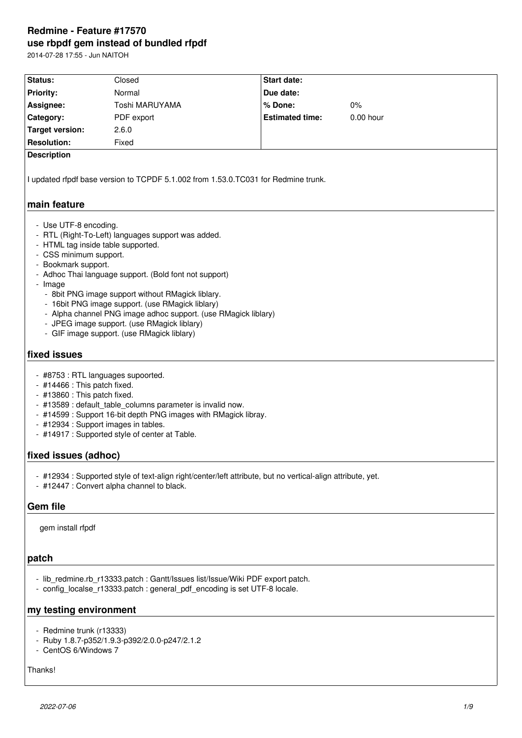# **Redmine - Feature #17570 use rbpdf gem instead of bundled rfpdf**

2014-07-28 17:55 - Jun NAITOH

| Status:                                                                                                                                                                                                                                                                                                                                                                                                                                                                                                | Closed         | <b>Start date:</b>     |           |  |  |
|--------------------------------------------------------------------------------------------------------------------------------------------------------------------------------------------------------------------------------------------------------------------------------------------------------------------------------------------------------------------------------------------------------------------------------------------------------------------------------------------------------|----------------|------------------------|-----------|--|--|
| <b>Priority:</b>                                                                                                                                                                                                                                                                                                                                                                                                                                                                                       | Normal         | Due date:              |           |  |  |
| Assignee:                                                                                                                                                                                                                                                                                                                                                                                                                                                                                              | Toshi MARUYAMA | % Done:                | $0\%$     |  |  |
| Category:                                                                                                                                                                                                                                                                                                                                                                                                                                                                                              | PDF export     | <b>Estimated time:</b> | 0.00 hour |  |  |
| <b>Target version:</b>                                                                                                                                                                                                                                                                                                                                                                                                                                                                                 | 2.6.0          |                        |           |  |  |
| <b>Resolution:</b>                                                                                                                                                                                                                                                                                                                                                                                                                                                                                     | Fixed          |                        |           |  |  |
| <b>Description</b><br>I updated rfpdf base version to TCPDF 5.1.002 from 1.53.0.TC031 for Redmine trunk.<br>main feature<br>- Use UTF-8 encoding.                                                                                                                                                                                                                                                                                                                                                      |                |                        |           |  |  |
| - RTL (Right-To-Left) languages support was added.<br>- HTML tag inside table supported.<br>- CSS minimum support.<br>- Bookmark support.<br>- Adhoc Thai language support. (Bold font not support)<br>- Image<br>- 8bit PNG image support without RMagick liblary.<br>- 16bit PNG image support. (use RMagick liblary)<br>- Alpha channel PNG image adhoc support. (use RMagick liblary)<br>- JPEG image support. (use RMagick liblary)<br>- GIF image support. (use RMagick liblary)<br>fixed issues |                |                        |           |  |  |
| - #8753 : RTL languages supoorted.<br>- #14466 : This patch fixed.<br>- #13860 : This patch fixed.<br>- #13589 : default_table_columns parameter is invalid now.<br>- #14599 : Support 16-bit depth PNG images with RMagick libray.<br>- #12934 : Support images in tables.<br>- #14917 : Supported style of center at Table.<br>fixed issues (adhoc)                                                                                                                                                  |                |                        |           |  |  |
| - #12934 : Supported style of text-align right/center/left attribute, but no vertical-align attribute, yet.<br>- #12447 : Convert alpha channel to black.                                                                                                                                                                                                                                                                                                                                              |                |                        |           |  |  |
| Gem file                                                                                                                                                                                                                                                                                                                                                                                                                                                                                               |                |                        |           |  |  |
| gem install rfpdf<br>patch                                                                                                                                                                                                                                                                                                                                                                                                                                                                             |                |                        |           |  |  |
|                                                                                                                                                                                                                                                                                                                                                                                                                                                                                                        |                |                        |           |  |  |
| - lib redmine.rb r13333.patch : Gantt/Issues list/Issue/Wiki PDF export patch.<br>- config_localse_r13333.patch : general_pdf_encoding is set UTF-8 locale.                                                                                                                                                                                                                                                                                                                                            |                |                        |           |  |  |
| my testing environment                                                                                                                                                                                                                                                                                                                                                                                                                                                                                 |                |                        |           |  |  |
| - Redmine trunk (r13333)<br>Ruby 1.8.7-p352/1.9.3-p392/2.0.0-p247/2.1.2<br>- CentOS 6/Windows 7                                                                                                                                                                                                                                                                                                                                                                                                        |                |                        |           |  |  |

Thanks!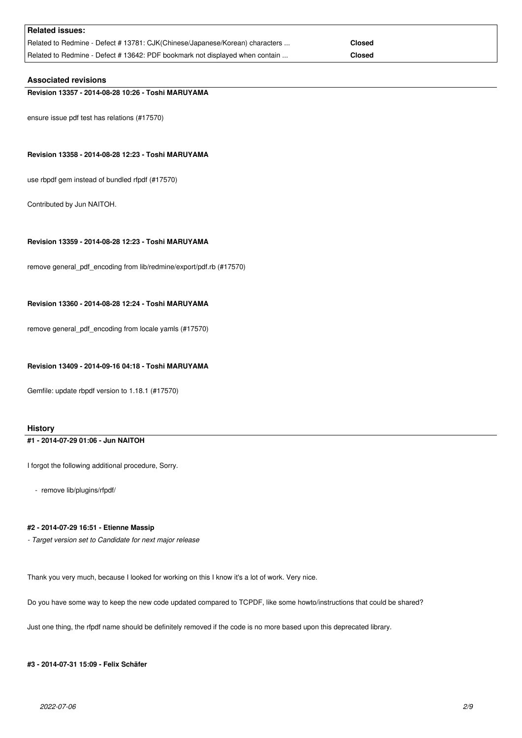| Related issues: I                                                            |               |
|------------------------------------------------------------------------------|---------------|
| Related to Redmine - Defect # 13781: CJK(Chinese/Japanese/Korean) characters | <b>Closed</b> |
| Related to Redmine - Defect # 13642: PDF bookmark not displayed when contain | <b>Closed</b> |

# **Associated revisions**

# **Revision 13357 - 2014-08-28 10:26 - Toshi MARUYAMA**

ensure issue pdf test has relations (#17570)

#### **Revision 13358 - 2014-08-28 12:23 - Toshi MARUYAMA**

use rbpdf gem instead of bundled rfpdf (#17570)

Contributed by Jun NAITOH.

#### **Revision 13359 - 2014-08-28 12:23 - Toshi MARUYAMA**

remove general\_pdf\_encoding from lib/redmine/export/pdf.rb (#17570)

## **Revision 13360 - 2014-08-28 12:24 - Toshi MARUYAMA**

remove general\_pdf\_encoding from locale yamls (#17570)

#### **Revision 13409 - 2014-09-16 04:18 - Toshi MARUYAMA**

Gemfile: update rbpdf version to 1.18.1 (#17570)

## **History**

#### **#1 - 2014-07-29 01:06 - Jun NAITOH**

I forgot the following additional procedure, Sorry.

- remove lib/plugins/rfpdf/

#### **#2 - 2014-07-29 16:51 - Etienne Massip**

*- Target version set to Candidate for next major release*

Thank you very much, because I looked for working on this I know it's a lot of work. Very nice.

Do you have some way to keep the new code updated compared to TCPDF, like some howto/instructions that could be shared?

Just one thing, the rfpdf name should be definitely removed if the code is no more based upon this deprecated library.

#### **#3 - 2014-07-31 15:09 - Felix Schäfer**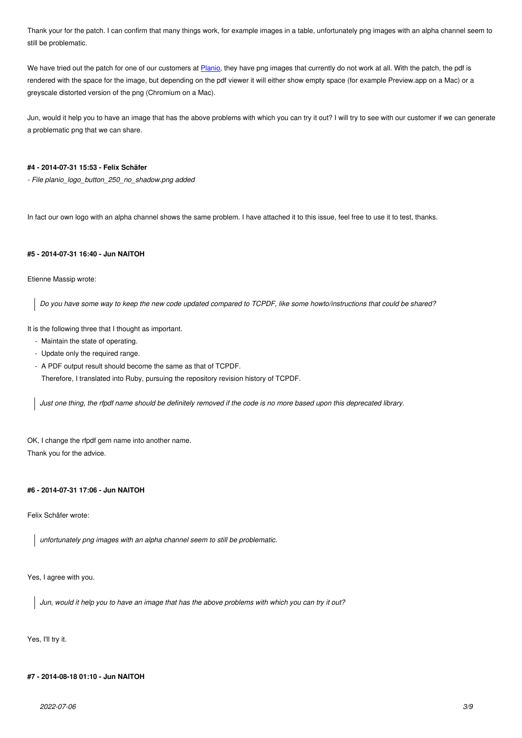still be problematic.

We have tried out the patch for one of our customers at Planio, they have png images that currently do not work at all. With the patch, the pdf is rendered with the space for the image, but depending on the pdf viewer it will either show empty space (for example Preview.app on a Mac) or a greyscale distorted version of the png (Chromium on a Mac).

Jun, would it help you to have an image that has the ab[ove pro](http://planio)blems with which you can try it out? I will try to see with our customer if we can generate a problematic png that we can share.

#### **#4 - 2014-07-31 15:53 - Felix Schäfer**

*- File planio\_logo\_button\_250\_no\_shadow.png added*

In fact our own logo with an alpha channel shows the same problem. I have attached it to this issue, feel free to use it to test, thanks.

#### **#5 - 2014-07-31 16:40 - Jun NAITOH**

Etienne Massip wrote:

*Do you have some way to keep the new code updated compared to TCPDF, like some howto/instructions that could be shared?*

It is the following three that I thought as important.

- Maintain the state of operating.
- Update only the required range.
- A PDF output result should become the same as that of TCPDF.

Therefore, I translated into Ruby, pursuing the repository revision history of TCPDF.

*Just one thing, the rfpdf name should be definitely removed if the code is no more based upon this deprecated library.*

OK, I change the rfpdf gem name into another name. Thank you for the advice.

## **#6 - 2014-07-31 17:06 - Jun NAITOH**

Felix Schäfer wrote:

*unfortunately png images with an alpha channel seem to still be problematic.*

Yes, I agree with you.

*Jun, would it help you to have an image that has the above problems with which you can try it out?*

Yes, I'll try it.

# **#7 - 2014-08-18 01:10 - Jun NAITOH**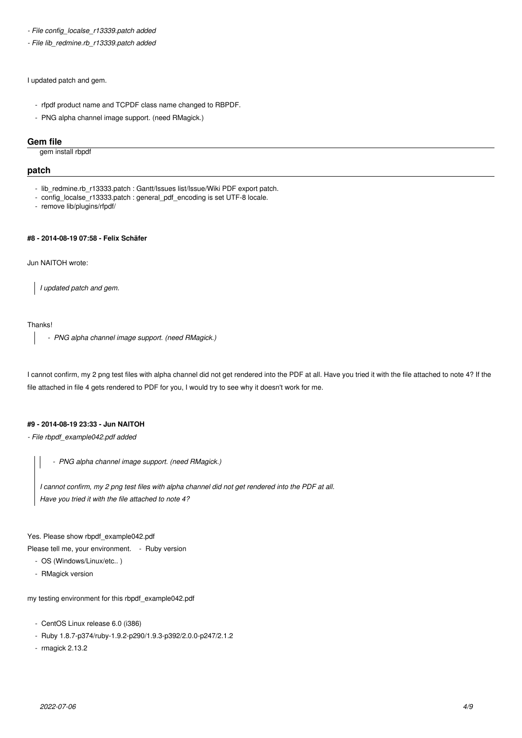- *File config\_localse\_r13339.patch added*
- *File lib\_redmine.rb\_r13339.patch added*

I updated patch and gem.

- rfpdf product name and TCPDF class name changed to RBPDF.
- PNG alpha channel image support. (need RMagick.)

## **Gem file**

gem install rbpdf

#### **patch**

- lib\_redmine.rb\_r13333.patch : Gantt/Issues list/Issue/Wiki PDF export patch.
- config\_localse\_r13333.patch : general\_pdf\_encoding is set UTF-8 locale.
- remove lib/plugins/rfpdf/

#### **#8 - 2014-08-19 07:58 - Felix Schäfer**

Jun NAITOH wrote:

*I updated patch and gem.*

Thanks!

 *- PNG alpha channel image support. (need RMagick.)*

I cannot confirm, my 2 png test files with alpha channel did not get rendered into the PDF at all. Have you tried it with the file attached to note 4? If the file attached in file 4 gets rendered to PDF for you, I would try to see why it doesn't work for me.

#### **#9 - 2014-08-19 23:33 - Jun NAITOH**

## *- File rbpdf\_example042.pdf added*

 *- PNG alpha channel image support. (need RMagick.)*

*I cannot confirm, my 2 png test files with alpha channel did not get rendered into the PDF at all. Have you tried it with the file attached to note 4?*

Yes. Please show rbpdf\_example042.pdf

Please tell me, your environment. - Ruby version

- OS (Windows/Linux/etc.. )
- RMagick version

my testing environment for this rbpdf\_example042.pdf

- CentOS Linux release 6.0 (i386)
- Ruby 1.8.7-p374/ruby-1.9.2-p290/1.9.3-p392/2.0.0-p247/2.1.2
- rmagick 2.13.2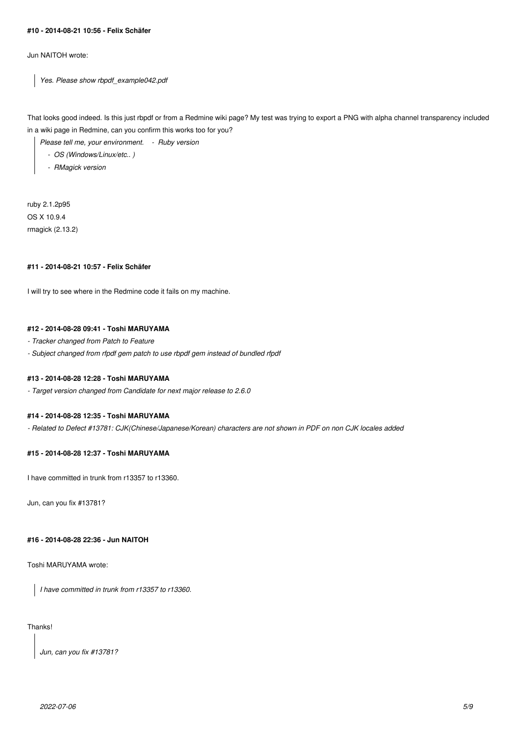#### **#10 - 2014-08-21 10:56 - Felix Schäfer**

Jun NAITOH wrote:

*Yes. Please show rbpdf\_example042.pdf*

That looks good indeed. Is this just rbpdf or from a Redmine wiki page? My test was trying to export a PNG with alpha channel transparency included in a wiki page in Redmine, can you confirm this works too for you?

*Please tell me, your environment. - Ruby version*

 *- OS (Windows/Linux/etc.. )*

 *- RMagick version*

ruby 2.1.2p95 OS X 10.9.4 rmagick (2.13.2)

# **#11 - 2014-08-21 10:57 - Felix Schäfer**

I will try to see where in the Redmine code it fails on my machine.

## **#12 - 2014-08-28 09:41 - Toshi MARUYAMA**

- *Tracker changed from Patch to Feature*
- *Subject changed from rfpdf gem patch to use rbpdf gem instead of bundled rfpdf*

# **#13 - 2014-08-28 12:28 - Toshi MARUYAMA**

*- Target version changed from Candidate for next major release to 2.6.0*

#### **#14 - 2014-08-28 12:35 - Toshi MARUYAMA**

*- Related to Defect #13781: CJK(Chinese/Japanese/Korean) characters are not shown in PDF on non CJK locales added*

## **#15 - 2014-08-28 12:37 - Toshi MARUYAMA**

I have committed in trunk from r13357 to r13360.

Jun, can you fix #13781?

#### **#16 - 2014-08-28 22:36 - Jun NAITOH**

Toshi MARUYAMA wrote:

*I have committed in trunk from r13357 to r13360.*

## Thanks!

*Jun, can you fix #13781?*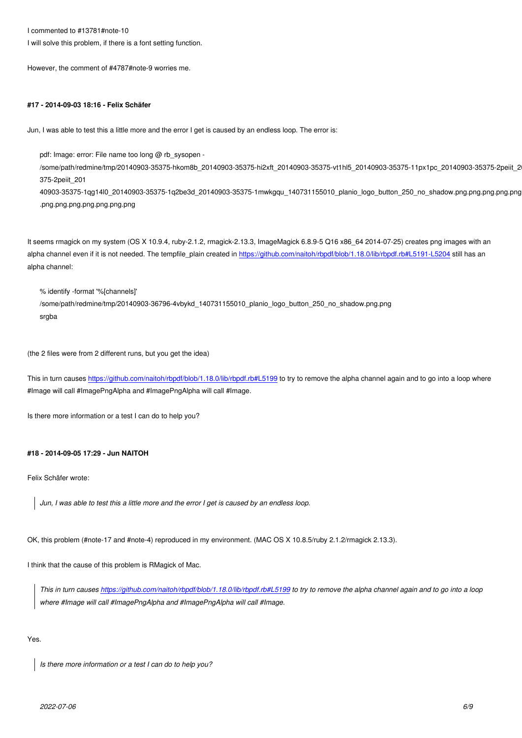I will solve this problem, if there is a font setting function.

However, the comment of #4787#note-9 worries me.

# **#17 - 2014-09-03 18:16 - Felix Schäfer**

Jun, I was able to test this a little more and the error I get is caused by an endless loop. The error is:

pdf: Image: error: File name too long @ rb\_sysopen -

/some/path/redmine/tmp/20140903-35375-hkom8b\_20140903-35375-hi2xft\_20140903-35375-vt1hl5\_20140903-35375-11px1pc\_20140903-35375-2peiit\_201 40903-35375-1qg14l0\_20140903-35375-1q2 375-2peiit\_201

40903-35375-1qg14l0\_20140903-35375-1q2be3d\_20140903-35375-1mwkgqu\_140731155010\_planio\_logo\_button\_250\_no\_shadow.png.png.png.png.png.png.png.png.png .png.png.png.png.png.png.png

It seems rmagick on my system (OS X 10.9.4, ruby-2.1.2, rmagick-2.13.3, ImageMagick 6.8.9-5 Q16 x86\_64 2014-07-25) creates png images with an alpha channel even if it is not needed. The tempfile plain created in https://github.com/naitoh/rbpdf/blob/1.18.0/lib/rbpdf.rb#L5191-L5204 still has an alpha channel:

% identify -format '%[channels]'

/some/path/redmine/tmp/20140903-36796-4vbykd\_1407311550[10\\_planio\\_logo\\_button\\_250\\_no\\_shadow.png.png](https://github.com/naitoh/rbpdf/blob/1.18.0/lib/rbpdf.rb#L5191-L5204) srgba

(the 2 files were from 2 different runs, but you get the idea)

This in turn causes https://github.com/naitoh/rbpdf/blob/1.18.0/lib/rbpdf.rb#L5199 to try to remove the alpha channel again and to go into a loop where #Image will call #ImagePngAlpha and #ImagePngAlpha will call #Image.

Is there more infor[mation or a test I can do to help you?](https://github.com/naitoh/rbpdf/blob/1.18.0/lib/rbpdf.rb#L5199)

#### **#18 - 2014-09-05 17:29 - Jun NAITOH**

Felix Schäfer wrote:

*Jun, I was able to test this a little more and the error I get is caused by an endless loop.*

OK, this problem (#note-17 and #note-4) reproduced in my environment. (MAC OS X 10.8.5/ruby 2.1.2/rmagick 2.13.3).

I think that the cause of this problem is RMagick of Mac.

*This in turn causes https://github.com/naitoh/rbpdf/blob/1.18.0/lib/rbpdf.rb#L5199 to try to remove the alpha channel again and to go into a loop where #Image will call #ImagePngAlpha and #ImagePngAlpha will call #Image.*

Yes.

*Is there more information or a test I can do to help you?*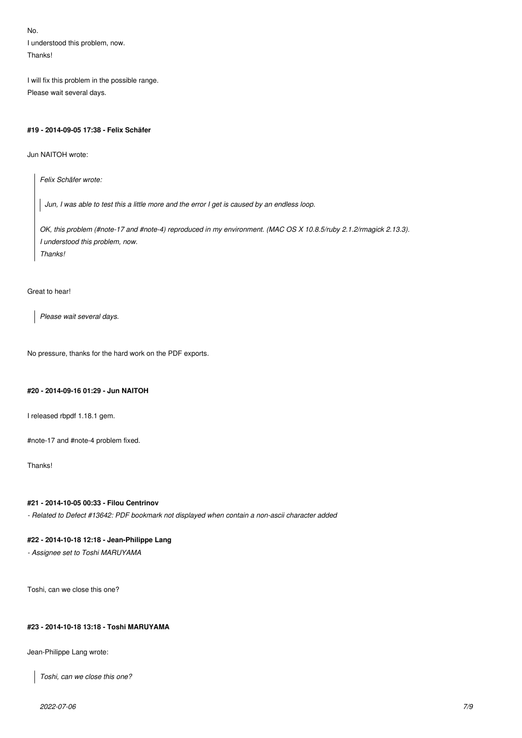No. I understood this problem, now. Thanks!

I will fix this problem in the possible range. Please wait several days.

#### **#19 - 2014-09-05 17:38 - Felix Schäfer**

Jun NAITOH wrote:

*Felix Schäfer wrote:*

*Jun, I was able to test this a little more and the error I get is caused by an endless loop.*

*OK, this problem (#note-17 and #note-4) reproduced in my environment. (MAC OS X 10.8.5/ruby 2.1.2/rmagick 2.13.3). I understood this problem, now. Thanks!*

#### Great to hear!

*Please wait several days.*

No pressure, thanks for the hard work on the PDF exports.

#### **#20 - 2014-09-16 01:29 - Jun NAITOH**

I released rbpdf 1.18.1 gem.

#note-17 and #note-4 problem fixed.

Thanks!

# **#21 - 2014-10-05 00:33 - Filou Centrinov**

*- Related to Defect #13642: PDF bookmark not displayed when contain a non-ascii character added*

## **#22 - 2014-10-18 12:18 - Jean-Philippe Lang**

*- Assignee set to Toshi MARUYAMA*

Toshi, can we close this one?

## **#23 - 2014-10-18 13:18 - Toshi MARUYAMA**

Jean-Philippe Lang wrote:

*Toshi, can we close this one?*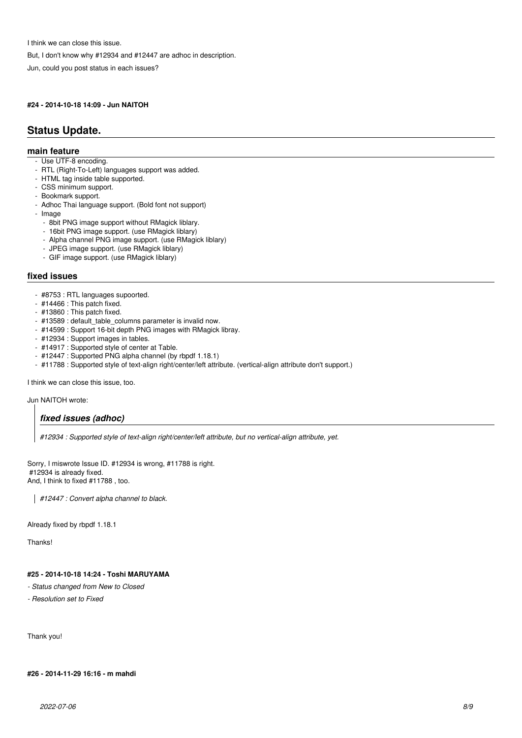I think we can close this issue.

But, I don't know why #12934 and #12447 are adhoc in description.

Jun, could you post status in each issues?

**#24 - 2014-10-18 14:09 - Jun NAITOH**

# **Status Update.**

## **main feature**

- Use UTF-8 encoding.
- RTL (Right-To-Left) languages support was added.
- HTML tag inside table supported.
- CSS minimum support.
- Bookmark support.
- Adhoc Thai language support. (Bold font not support)
- Image
	- 8bit PNG image support without RMagick liblary.
- 16bit PNG image support. (use RMagick liblary)
- Alpha channel PNG image support. (use RMagick liblary)
- JPEG image support. (use RMagick liblary)
- GIF image support. (use RMagick liblary)

#### **fixed issues**

- #8753 : RTL languages supoorted.
- #14466 : This patch fixed.
- #13860 : This patch fixed.
- #13589 : default\_table\_columns parameter is invalid now.
- #14599 : Support 16-bit depth PNG images with RMagick libray.
- #12934 : Support images in tables.
- #14917 : Supported style of center at Table.
- #12447 : Supported PNG alpha channel (by rbpdf 1.18.1)
- #11788 : Supported style of text-align right/center/left attribute. (vertical-align attribute don't support.)

I think we can close this issue, too.

Jun NAITOH wrote:

## *fixed issues (adhoc)*

*#12934 : Supported style of text-align right/center/left attribute, but no vertical-align attribute, yet.*

Sorry, I miswrote Issue ID. #12934 is wrong, #11788 is right. #12934 is already fixed. And, I think to fixed #11788 , too.

*#12447 : Convert alpha channel to black.*

Already fixed by rbpdf 1.18.1

**Thanks!** 

# **#25 - 2014-10-18 14:24 - Toshi MARUYAMA**

- *Status changed from New to Closed*
- *Resolution set to Fixed*

Thank you!

#### **#26 - 2014-11-29 16:16 - m mahdi**